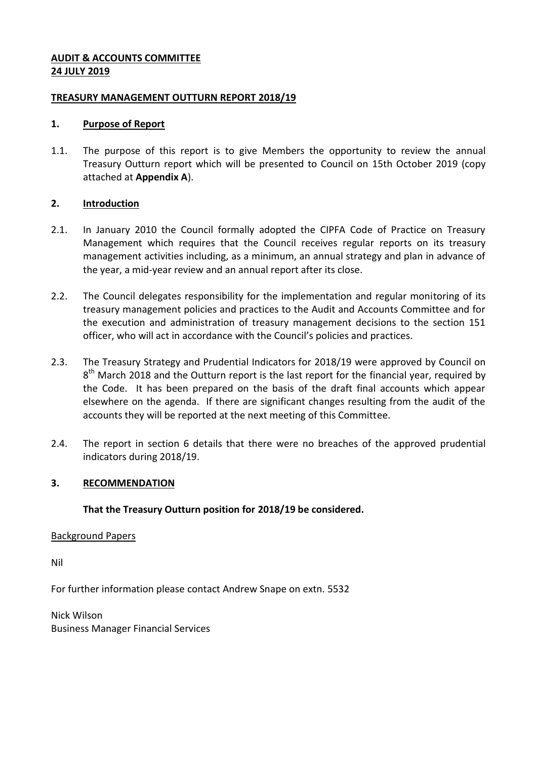### **AUDIT & ACCOUNTS COMMITTEE 24 JULY 2019**

### **TREASURY MANAGEMENT OUTTURN REPORT 2018/19**

### **1. Purpose of Report**

1.1. The purpose of this report is to give Members the opportunity to review the annual Treasury Outturn report which will be presented to Council on 15th October 2019 (copy attached at **Appendix A**).

# **2. Introduction**

- 2.1. In January 2010 the Council formally adopted the CIPFA Code of Practice on Treasury Management which requires that the Council receives regular reports on its treasury management activities including, as a minimum, an annual strategy and plan in advance of the year, a mid-year review and an annual report after its close.
- 2.2. The Council delegates responsibility for the implementation and regular monitoring of its treasury management policies and practices to the Audit and Accounts Committee and for the execution and administration of treasury management decisions to the section 151 officer, who will act in accordance with the Council's policies and practices.
- 2.3. The Treasury Strategy and Prudential Indicators for 2018/19 were approved by Council on 8<sup>th</sup> March 2018 and the Outturn report is the last report for the financial year, required by the Code. It has been prepared on the basis of the draft final accounts which appear elsewhere on the agenda. If there are significant changes resulting from the audit of the accounts they will be reported at the next meeting of this Committee.
- 2.4. The report in section 6 details that there were no breaches of the approved prudential indicators during 2018/19.

# **3. RECOMMENDATION**

# **That the Treasury Outturn position for 2018/19 be considered.**

### Background Papers

Nil

For further information please contact Andrew Snape on extn. 5532

Nick Wilson Business Manager Financial Services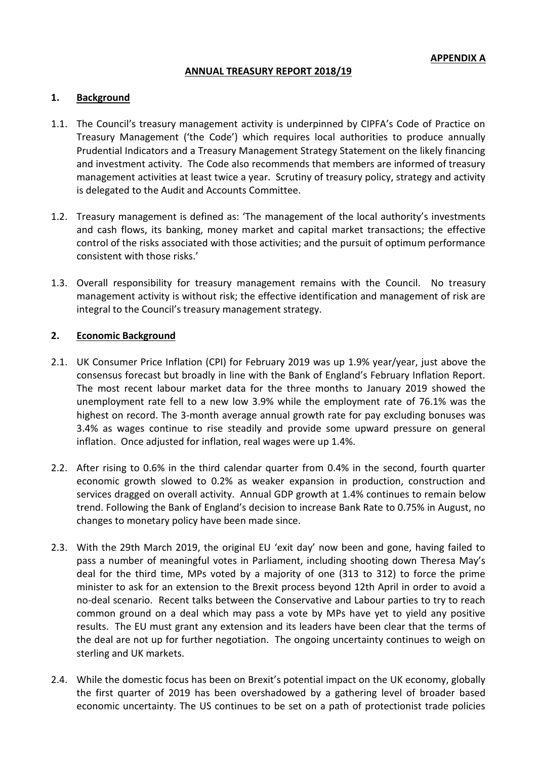### **ANNUAL TREASURY REPORT 2018/19**

### **1. Background**

- 1.1. The Council's treasury management activity is underpinned by CIPFA's Code of Practice on Treasury Management ('the Code') which requires local authorities to produce annually Prudential Indicators and a Treasury Management Strategy Statement on the likely financing and investment activity. The Code also recommends that members are informed of treasury management activities at least twice a year. Scrutiny of treasury policy, strategy and activity is delegated to the Audit and Accounts Committee.
- 1.2. Treasury management is defined as: 'The management of the local authority's investments and cash flows, its banking, money market and capital market transactions; the effective control of the risks associated with those activities; and the pursuit of optimum performance consistent with those risks.'
- 1.3. Overall responsibility for treasury management remains with the Council. No treasury management activity is without risk; the effective identification and management of risk are integral to the Council's treasury management strategy.

#### **2. Economic Background**

- 2.1. UK Consumer Price Inflation (CPI) for February 2019 was up 1.9% year/year, just above the consensus forecast but broadly in line with the Bank of England's February Inflation Report. The most recent labour market data for the three months to January 2019 showed the unemployment rate fell to a new low 3.9% while the employment rate of 76.1% was the highest on record. The 3-month average annual growth rate for pay excluding bonuses was 3.4% as wages continue to rise steadily and provide some upward pressure on general inflation. Once adjusted for inflation, real wages were up 1.4%.
- 2.2. After rising to 0.6% in the third calendar quarter from 0.4% in the second, fourth quarter economic growth slowed to 0.2% as weaker expansion in production, construction and services dragged on overall activity. Annual GDP growth at 1.4% continues to remain below trend. Following the Bank of England's decision to increase Bank Rate to 0.75% in August, no changes to monetary policy have been made since.
- 2.3. With the 29th March 2019, the original EU 'exit day' now been and gone, having failed to pass a number of meaningful votes in Parliament, including shooting down Theresa May's deal for the third time, MPs voted by a majority of one (313 to 312) to force the prime minister to ask for an extension to the Brexit process beyond 12th April in order to avoid a no-deal scenario. Recent talks between the Conservative and Labour parties to try to reach common ground on a deal which may pass a vote by MPs have yet to yield any positive results. The EU must grant any extension and its leaders have been clear that the terms of the deal are not up for further negotiation. The ongoing uncertainty continues to weigh on sterling and UK markets.
- 2.4. While the domestic focus has been on Brexit's potential impact on the UK economy, globally the first quarter of 2019 has been overshadowed by a gathering level of broader based economic uncertainty. The US continues to be set on a path of protectionist trade policies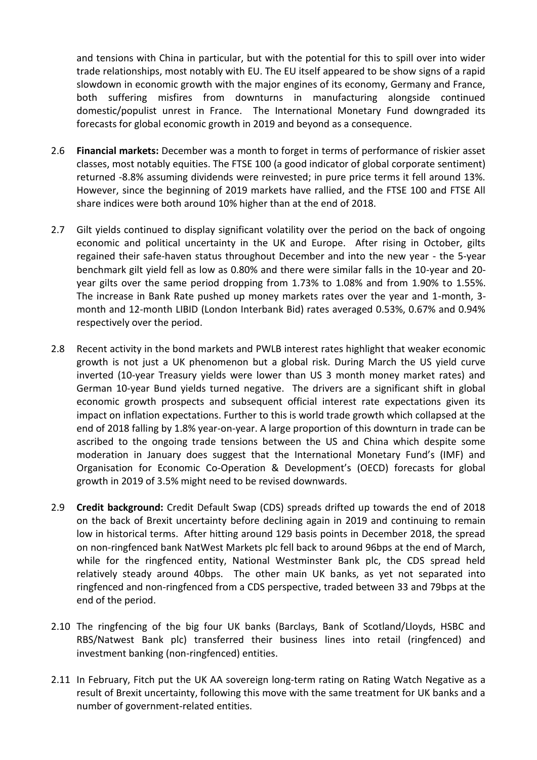and tensions with China in particular, but with the potential for this to spill over into wider trade relationships, most notably with EU. The EU itself appeared to be show signs of a rapid slowdown in economic growth with the major engines of its economy, Germany and France, both suffering misfires from downturns in manufacturing alongside continued domestic/populist unrest in France. The International Monetary Fund downgraded its forecasts for global economic growth in 2019 and beyond as a consequence.

- 2.6 **Financial markets:** December was a month to forget in terms of performance of riskier asset classes, most notably equities. The FTSE 100 (a good indicator of global corporate sentiment) returned -8.8% assuming dividends were reinvested; in pure price terms it fell around 13%. However, since the beginning of 2019 markets have rallied, and the FTSE 100 and FTSE All share indices were both around 10% higher than at the end of 2018.
- 2.7 Gilt yields continued to display significant volatility over the period on the back of ongoing economic and political uncertainty in the UK and Europe. After rising in October, gilts regained their safe-haven status throughout December and into the new year - the 5-year benchmark gilt yield fell as low as 0.80% and there were similar falls in the 10-year and 20 year gilts over the same period dropping from 1.73% to 1.08% and from 1.90% to 1.55%. The increase in Bank Rate pushed up money markets rates over the year and 1-month, 3 month and 12-month LIBID (London Interbank Bid) rates averaged 0.53%, 0.67% and 0.94% respectively over the period.
- 2.8 Recent activity in the bond markets and PWLB interest rates highlight that weaker economic growth is not just a UK phenomenon but a global risk. During March the US yield curve inverted (10-year Treasury yields were lower than US 3 month money market rates) and German 10-year Bund yields turned negative. The drivers are a significant shift in global economic growth prospects and subsequent official interest rate expectations given its impact on inflation expectations. Further to this is world trade growth which collapsed at the end of 2018 falling by 1.8% year-on-year. A large proportion of this downturn in trade can be ascribed to the ongoing trade tensions between the US and China which despite some moderation in January does suggest that the International Monetary Fund's (IMF) and Organisation for Economic Co-Operation & Development's (OECD) forecasts for global growth in 2019 of 3.5% might need to be revised downwards.
- 2.9 **Credit background:** Credit Default Swap (CDS) spreads drifted up towards the end of 2018 on the back of Brexit uncertainty before declining again in 2019 and continuing to remain low in historical terms. After hitting around 129 basis points in December 2018, the spread on non-ringfenced bank NatWest Markets plc fell back to around 96bps at the end of March, while for the ringfenced entity, National Westminster Bank plc, the CDS spread held relatively steady around 40bps. The other main UK banks, as yet not separated into ringfenced and non-ringfenced from a CDS perspective, traded between 33 and 79bps at the end of the period.
- 2.10 The ringfencing of the big four UK banks (Barclays, Bank of Scotland/Lloyds, HSBC and RBS/Natwest Bank plc) transferred their business lines into retail (ringfenced) and investment banking (non-ringfenced) entities.
- 2.11 In February, Fitch put the UK AA sovereign long-term rating on Rating Watch Negative as a result of Brexit uncertainty, following this move with the same treatment for UK banks and a number of government-related entities.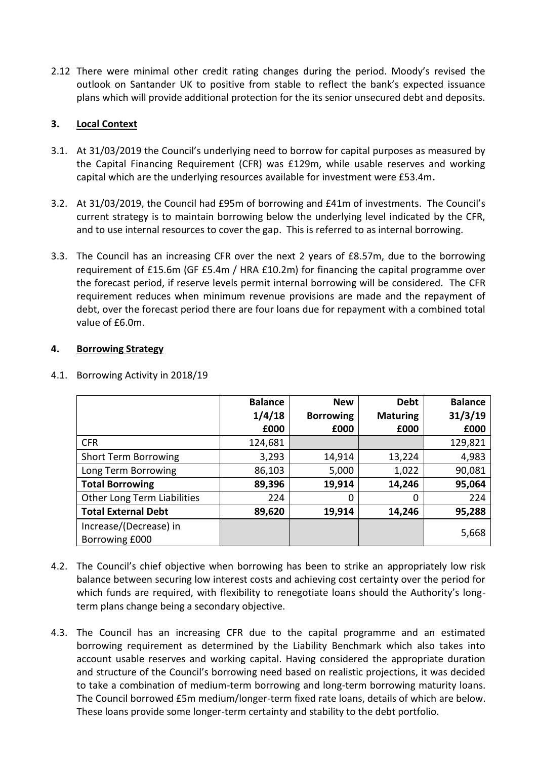2.12 There were minimal other credit rating changes during the period. Moody's revised the outlook on Santander UK to positive from stable to reflect the bank's expected issuance plans which will provide additional protection for the its senior unsecured debt and deposits.

# **3. Local Context**

- 3.1. At 31/03/2019 the Council's underlying need to borrow for capital purposes as measured by the Capital Financing Requirement (CFR) was £129m, while usable reserves and working capital which are the underlying resources available for investment were £53.4m**.**
- 3.2. At 31/03/2019, the Council had £95m of borrowing and £41m of investments. The Council's current strategy is to maintain borrowing below the underlying level indicated by the CFR, and to use internal resources to cover the gap. This is referred to as internal borrowing.
- 3.3. The Council has an increasing CFR over the next 2 years of £8.57m, due to the borrowing requirement of £15.6m (GF £5.4m / HRA £10.2m) for financing the capital programme over the forecast period, if reserve levels permit internal borrowing will be considered. The CFR requirement reduces when minimum revenue provisions are made and the repayment of debt, over the forecast period there are four loans due for repayment with a combined total value of  $f6.0m$ .

### **4. Borrowing Strategy**

|                                          | <b>Balance</b> | <b>New</b>       | <b>Debt</b>     | <b>Balance</b> |
|------------------------------------------|----------------|------------------|-----------------|----------------|
|                                          | 1/4/18         | <b>Borrowing</b> | <b>Maturing</b> | 31/3/19        |
|                                          | £000           | £000             | £000            | £000           |
| <b>CFR</b>                               | 124,681        |                  |                 | 129,821        |
| <b>Short Term Borrowing</b>              | 3,293          | 14,914           | 13,224          | 4,983          |
| Long Term Borrowing                      | 86,103         | 5,000            | 1,022           | 90,081         |
| <b>Total Borrowing</b>                   | 89,396         | 19,914           | 14,246          | 95,064         |
| Other Long Term Liabilities              | 224            | 0                | 0               | 224            |
| <b>Total External Debt</b>               | 89,620         | 19,914           | 14,246          | 95,288         |
| Increase/(Decrease) in<br>Borrowing £000 |                |                  |                 | 5,668          |

### 4.1. Borrowing Activity in 2018/19

- 4.2. The Council's chief objective when borrowing has been to strike an appropriately low risk balance between securing low interest costs and achieving cost certainty over the period for which funds are required, with flexibility to renegotiate loans should the Authority's longterm plans change being a secondary objective.
- 4.3. The Council has an increasing CFR due to the capital programme and an estimated borrowing requirement as determined by the Liability Benchmark which also takes into account usable reserves and working capital. Having considered the appropriate duration and structure of the Council's borrowing need based on realistic projections, it was decided to take a combination of medium-term borrowing and long-term borrowing maturity loans. The Council borrowed £5m medium/longer-term fixed rate loans, details of which are below. These loans provide some longer-term certainty and stability to the debt portfolio.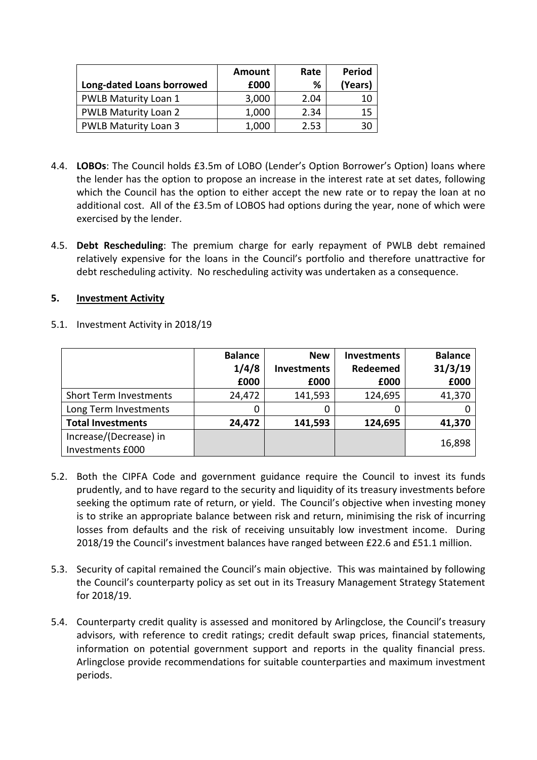|                             | Amount | Rate | <b>Period</b> |
|-----------------------------|--------|------|---------------|
| Long-dated Loans borrowed   | £000   | %    | (Years)       |
| PWLB Maturity Loan 1        | 3,000  | 2.04 | 10            |
| <b>PWLB Maturity Loan 2</b> | 1,000  | 2.34 | 15            |
| <b>PWLB Maturity Loan 3</b> | 1,000  | 2.53 | 30            |

- 4.4. **LOBOs**: The Council holds £3.5m of LOBO (Lender's Option Borrower's Option) loans where the lender has the option to propose an increase in the interest rate at set dates, following which the Council has the option to either accept the new rate or to repay the loan at no additional cost. All of the £3.5m of LOBOS had options during the year, none of which were exercised by the lender.
- 4.5. **Debt Rescheduling**: The premium charge for early repayment of PWLB debt remained relatively expensive for the loans in the Council's portfolio and therefore unattractive for debt rescheduling activity. No rescheduling activity was undertaken as a consequence.

### **5. Investment Activity**

|  | 5.1. Investment Activity in 2018/19 |  |
|--|-------------------------------------|--|
|--|-------------------------------------|--|

|                               | <b>Balance</b><br>1/4/8 | <b>New</b><br><b>Investments</b> | <b>Investments</b><br>Redeemed | <b>Balance</b><br>31/3/19 |
|-------------------------------|-------------------------|----------------------------------|--------------------------------|---------------------------|
|                               | £000                    | £000                             | £000                           | £000                      |
| <b>Short Term Investments</b> | 24,472                  | 141,593                          | 124,695                        | 41,370                    |
| Long Term Investments         |                         |                                  | 0                              |                           |
| <b>Total Investments</b>      | 24,472                  | 141,593                          | 124,695                        | 41,370                    |
| Increase/(Decrease) in        |                         |                                  |                                | 16,898                    |
| Investments £000              |                         |                                  |                                |                           |

- 5.2. Both the CIPFA Code and government guidance require the Council to invest its funds prudently, and to have regard to the security and liquidity of its treasury investments before seeking the optimum rate of return, or yield. The Council's objective when investing money is to strike an appropriate balance between risk and return, minimising the risk of incurring losses from defaults and the risk of receiving unsuitably low investment income. During 2018/19 the Council's investment balances have ranged between £22.6 and £51.1 million.
- 5.3. Security of capital remained the Council's main objective. This was maintained by following the Council's counterparty policy as set out in its Treasury Management Strategy Statement for 2018/19.
- 5.4. Counterparty credit quality is assessed and monitored by Arlingclose, the Council's treasury advisors, with reference to credit ratings; credit default swap prices, financial statements, information on potential government support and reports in the quality financial press. Arlingclose provide recommendations for suitable counterparties and maximum investment periods.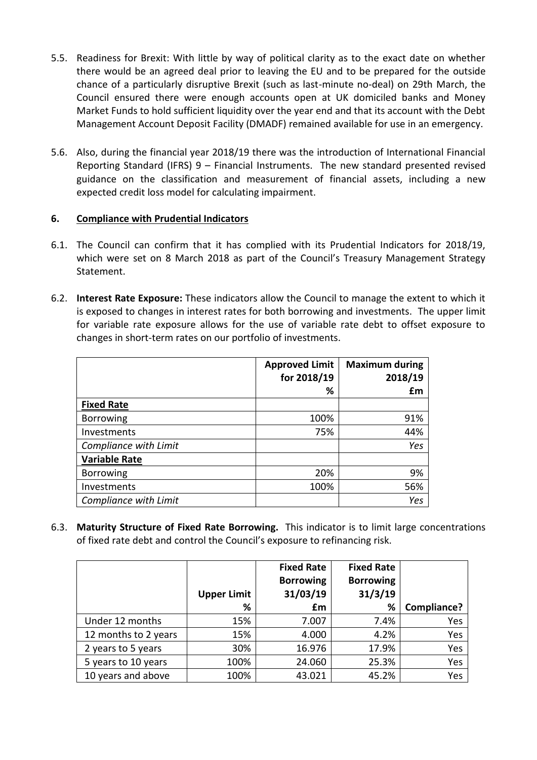- 5.5. Readiness for Brexit: With little by way of political clarity as to the exact date on whether there would be an agreed deal prior to leaving the EU and to be prepared for the outside chance of a particularly disruptive Brexit (such as last-minute no-deal) on 29th March, the Council ensured there were enough accounts open at UK domiciled banks and Money Market Funds to hold sufficient liquidity over the year end and that its account with the Debt Management Account Deposit Facility (DMADF) remained available for use in an emergency.
- 5.6. Also, during the financial year 2018/19 there was the introduction of International Financial Reporting Standard (IFRS) 9 – Financial Instruments. The new standard presented revised guidance on the classification and measurement of financial assets, including a new expected credit loss model for calculating impairment.

# **6. Compliance with Prudential Indicators**

- 6.1. The Council can confirm that it has complied with its Prudential Indicators for 2018/19, which were set on 8 March 2018 as part of the Council's Treasury Management Strategy Statement.
- 6.2. **Interest Rate Exposure:** These indicators allow the Council to manage the extent to which it is exposed to changes in interest rates for both borrowing and investments. The upper limit for variable rate exposure allows for the use of variable rate debt to offset exposure to changes in short-term rates on our portfolio of investments.

|                       | <b>Approved Limit</b><br>for 2018/19 | <b>Maximum during</b><br>2018/19 |
|-----------------------|--------------------------------------|----------------------------------|
|                       | %                                    | £m                               |
| <b>Fixed Rate</b>     |                                      |                                  |
| <b>Borrowing</b>      | 100%                                 | 91%                              |
| Investments           | 75%                                  | 44%                              |
| Compliance with Limit |                                      | Yes                              |
| <b>Variable Rate</b>  |                                      |                                  |
| <b>Borrowing</b>      | 20%                                  | 9%                               |
| Investments           | 100%                                 | 56%                              |
| Compliance with Limit |                                      | Yes                              |

6.3. **Maturity Structure of Fixed Rate Borrowing.** This indicator is to limit large concentrations of fixed rate debt and control the Council's exposure to refinancing risk.

|                      | <b>Upper Limit</b> | <b>Fixed Rate</b><br><b>Borrowing</b><br>31/03/19 | <b>Fixed Rate</b><br><b>Borrowing</b><br>31/3/19 |             |
|----------------------|--------------------|---------------------------------------------------|--------------------------------------------------|-------------|
|                      | %                  | £m                                                | %                                                | Compliance? |
| Under 12 months      | 15%                | 7.007                                             | 7.4%                                             | Yes         |
| 12 months to 2 years | 15%                | 4.000                                             | 4.2%                                             | Yes         |
| 2 years to 5 years   | 30%                | 16.976                                            | 17.9%                                            | Yes         |
| 5 years to 10 years  | 100%               | 24.060                                            | 25.3%                                            | Yes         |
| 10 years and above   | 100%               | 43.021                                            | 45.2%                                            | Yes         |